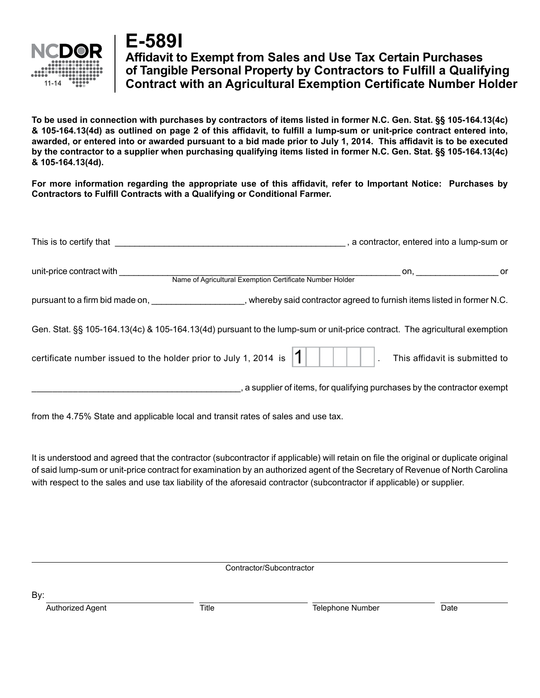

## **E-589I**

## **Affidavit to Exempt from Sales and Use Tax Certain Purchases of Tangible Personal Property by Contractors to Fulfill a Qualifying Contract with an Agricultural Exemption Certificate Number Holder**

**To be used in connection with purchases by contractors of items listed in former N.C. Gen. Stat. §§ 105-164.13(4c) & 105-164.13(4d) as outlined on page 2 of this affidavit, to fulfill a lump-sum or unit-price contract entered into, awarded, or entered into or awarded pursuant to a bid made prior to July 1, 2014. This affidavit is to be executed by the contractor to a supplier when purchasing qualifying items listed in former N.C. Gen. Stat. §§ 105-164.13(4c) & 105-164.13(4d).** 

**For more information regarding the appropriate use of this affidavit, refer to Important Notice: Purchases by Contractors to Fulfill Contracts with a Qualifying or Conditional Farmer.** 

| This is to certify that                                                                                                        | , a contractor, entered into a lump-sum or                               |
|--------------------------------------------------------------------------------------------------------------------------------|--------------------------------------------------------------------------|
| unit-price contract with<br>Name of Agricultural Exemption Certificate Number Holder                                           |                                                                          |
| pursuant to a firm bid made on, example and the state of whereby said contractor agreed to furnish items listed in former N.C. |                                                                          |
| Gen. Stat. §§ 105-164.13(4c) & 105-164.13(4d) pursuant to the lump-sum or unit-price contract. The agricultural exemption      |                                                                          |
| certificate number issued to the holder prior to July 1, 2014 is                                                               | This affidavit is submitted to                                           |
|                                                                                                                                | , a supplier of items, for qualifying purchases by the contractor exempt |

from the 4.75% State and applicable local and transit rates of sales and use tax.

It is understood and agreed that the contractor (subcontractor if applicable) will retain on file the original or duplicate original of said lump-sum or unit-price contract for examination by an authorized agent of the Secretary of Revenue of North Carolina with respect to the sales and use tax liability of the aforesaid contractor (subcontractor if applicable) or supplier.

Contractor/Subcontractor

By:

Authorized Agent Title Telephone Number Date